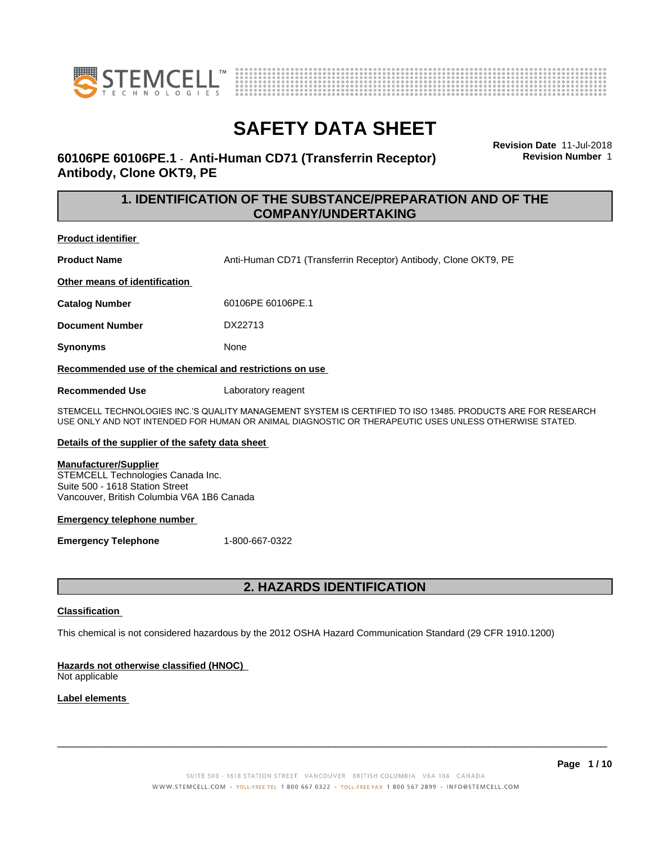



# **60106PE 60106PE.1** - **Anti-Human CD71 (Transferrin Receptor) Antibody, Clone OKT9, PE**

**Revision Date** 11-Jul-2018 **Revision Number** 1

# **1. IDENTIFICATION OF THE SUBSTANCE/PREPARATION AND OF THE COMPANY/UNDERTAKING**

## **Product identifier**

**Product Name** Anti-Human CD71 (Transferrin Receptor) Antibody, Clone OKT9, PE

**Other means of identification**

**Catalog Number** 60106PE 60106PE.1

**Document Number** DX22713

**Synonyms** None

**Recommended use of the chemical and restrictions on use**

**Recommended Use** Laboratory reagent

STEMCELL TECHNOLOGIES INC.'S QUALITY MANAGEMENT SYSTEM IS CERTIFIED TO ISO 13485. PRODUCTS ARE FOR RESEARCH USE ONLY AND NOT INTENDED FOR HUMAN OR ANIMAL DIAGNOSTIC OR THERAPEUTIC USES UNLESS OTHERWISE STATED.

### **Details of the supplier of the safety data sheet**

### **Manufacturer/Supplier**

STEMCELL Technologies Canada Inc. Suite 500 - 1618 Station Street Vancouver, British Columbia V6A 1B6 Canada

### **Emergency telephone number**

**Emergency Telephone** 1-800-667-0322

# **2. HAZARDS IDENTIFICATION**

### **Classification**

This chemical is not considered hazardous by the 2012 OSHA Hazard Communication Standard (29 CFR 1910.1200)

## **Hazards not otherwise classified (HNOC)**

Not applicable

### **Label elements**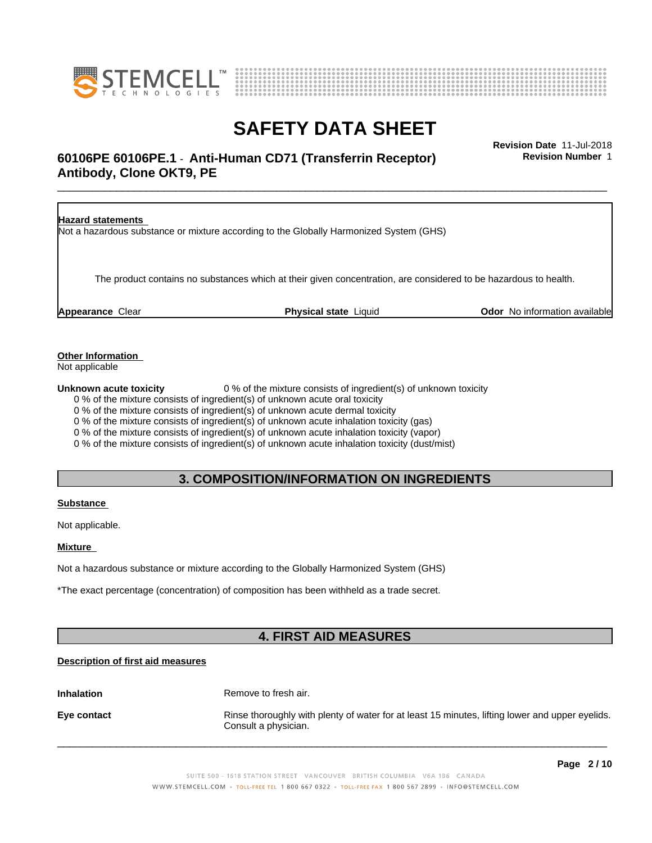



# **SAFETY DATA SHEET**<br>Revision Date 11-Jul-2018

# \_\_\_\_\_\_\_\_\_\_\_\_\_\_\_\_\_\_\_\_\_\_\_\_\_\_\_\_\_\_\_\_\_\_\_\_\_\_\_\_\_\_\_\_\_\_\_\_\_\_\_\_\_\_\_\_\_\_\_\_\_\_\_\_\_\_\_\_\_\_\_\_\_\_\_\_\_\_\_\_\_\_\_\_\_\_\_\_\_\_\_\_\_ **Revision Date** 11-Jul-2018 **60106PE 60106PE.1** - **Anti-Human CD71 (Transferrin Receptor) Antibody, Clone OKT9, PE**

**Revision Number** 1

| <b>Hazard statements</b> | Not a hazardous substance or mixture according to the Globally Harmonized System (GHS)                           |                                      |
|--------------------------|------------------------------------------------------------------------------------------------------------------|--------------------------------------|
|                          | The product contains no substances which at their given concentration, are considered to be hazardous to health. |                                      |
| <b>Appearance Clear</b>  | <b>Physical state Liquid</b>                                                                                     | <b>Odor</b> No information available |

**Other Information**

Not applicable

**Unknown acute toxicity** 0 % of the mixture consists of ingredient(s) of unknown toxicity

0 % of the mixture consists of ingredient(s) of unknown acute oral toxicity

0 % of the mixture consists of ingredient(s) of unknown acute dermal toxicity

0 % of the mixture consists of ingredient(s) of unknown acute inhalation toxicity (gas)

0 % of the mixture consists of ingredient(s) of unknown acute inhalation toxicity (vapor)

0 % of the mixture consists of ingredient(s) of unknown acute inhalation toxicity (dust/mist)

# **3. COMPOSITION/INFORMATION ON INGREDIENTS**

### **Substance**

Not applicable.

### **Mixture**

Not a hazardous substance or mixture according to the Globally Harmonized System (GHS)

\*The exact percentage (concentration) of composition has been withheld as a trade secret.

# **4. FIRST AID MEASURES**

## **Description of first aid measures**

**Inhalation** Remove to fresh air.

**Eye contact Rinse thoroughly with plenty of water for at least 15 minutes, lifting lower and upper eyelids.** Consult a physician.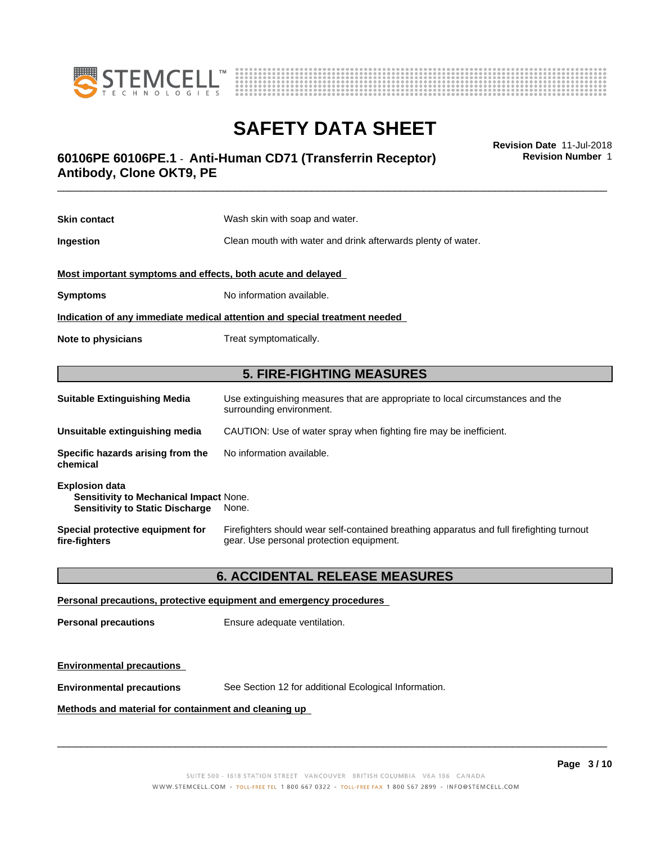



# \_\_\_\_\_\_\_\_\_\_\_\_\_\_\_\_\_\_\_\_\_\_\_\_\_\_\_\_\_\_\_\_\_\_\_\_\_\_\_\_\_\_\_\_\_\_\_\_\_\_\_\_\_\_\_\_\_\_\_\_\_\_\_\_\_\_\_\_\_\_\_\_\_\_\_\_\_\_\_\_\_\_\_\_\_\_\_\_\_\_\_\_\_ **Revision Date** 11-Jul-2018 **60106PE 60106PE.1** - **Anti-Human CD71 (Transferrin Receptor) Antibody, Clone OKT9, PE**

**Skin contact** Wash skin with soap and water. **Ingestion Ingestion Clean mouth with water and drink afterwards plenty of water. Most important symptoms and effects, both acute and delayed Symptoms** No information available. **Indication of any immediate medical attention and special treatment needed Note to physicians** Treat symptomatically.

# **5. FIRE-FIGHTING MEASURES**

| <b>Suitable Extinguishing Media</b>                                                                              | Use extinguishing measures that are appropriate to local circumstances and the<br>surrounding environment.                            |
|------------------------------------------------------------------------------------------------------------------|---------------------------------------------------------------------------------------------------------------------------------------|
| Unsuitable extinguishing media                                                                                   | CAUTION: Use of water spray when fighting fire may be inefficient.                                                                    |
| Specific hazards arising from the<br>chemical                                                                    | No information available.                                                                                                             |
| <b>Explosion data</b><br><b>Sensitivity to Mechanical Impact None.</b><br><b>Sensitivity to Static Discharge</b> | None.                                                                                                                                 |
| Special protective equipment for<br>fire-fighters                                                                | Firefighters should wear self-contained breathing apparatus and full firefighting turnout<br>gear. Use personal protection equipment. |

# **6. ACCIDENTAL RELEASE MEASURES**

## **Personal precautions, protective equipment and emergency procedures**

**Personal precautions** Ensure adequate ventilation.

## **Environmental precautions**

**Environmental precautions** See Section 12 for additional Ecological Information.

## **Methods and material for containment and cleaning up**

 $\overline{\phantom{a}}$  ,  $\overline{\phantom{a}}$  ,  $\overline{\phantom{a}}$  ,  $\overline{\phantom{a}}$  ,  $\overline{\phantom{a}}$  ,  $\overline{\phantom{a}}$  ,  $\overline{\phantom{a}}$  ,  $\overline{\phantom{a}}$  ,  $\overline{\phantom{a}}$  ,  $\overline{\phantom{a}}$  ,  $\overline{\phantom{a}}$  ,  $\overline{\phantom{a}}$  ,  $\overline{\phantom{a}}$  ,  $\overline{\phantom{a}}$  ,  $\overline{\phantom{a}}$  ,  $\overline{\phantom{a}}$ 

**Revision Number** 1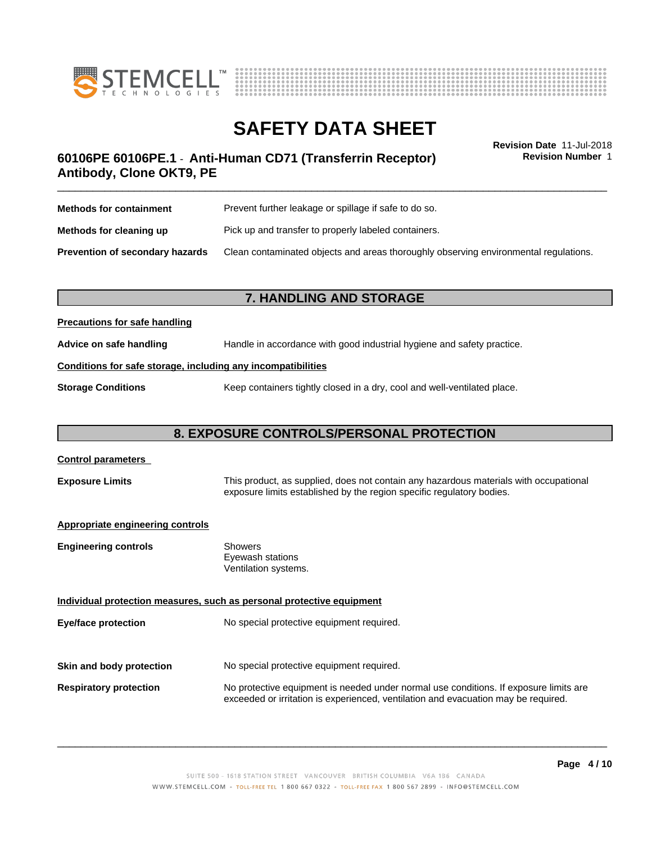



**Revision Number** 1

# \_\_\_\_\_\_\_\_\_\_\_\_\_\_\_\_\_\_\_\_\_\_\_\_\_\_\_\_\_\_\_\_\_\_\_\_\_\_\_\_\_\_\_\_\_\_\_\_\_\_\_\_\_\_\_\_\_\_\_\_\_\_\_\_\_\_\_\_\_\_\_\_\_\_\_\_\_\_\_\_\_\_\_\_\_\_\_\_\_\_\_\_\_ **Revision Date** 11-Jul-2018 **60106PE 60106PE.1** - **Anti-Human CD71 (Transferrin Receptor) Antibody, Clone OKT9, PE**

| <b>Methods for containment</b>         | Prevent further leakage or spillage if safe to do so.                                |
|----------------------------------------|--------------------------------------------------------------------------------------|
| Methods for cleaning up                | Pick up and transfer to properly labeled containers.                                 |
| <b>Prevention of secondary hazards</b> | Clean contaminated objects and areas thoroughly observing environmental regulations. |

# **7. HANDLING AND STORAGE**

## **Precautions for safe handling**

**Advice on safe handling** Handle in accordance with good industrial hygiene and safety practice.

### **Conditions for safe storage, including any incompatibilities**

**Storage Conditions** Keep containers tightly closed in a dry, cool and well-ventilated place.

# **8. EXPOSURE CONTROLS/PERSONAL PROTECTION**

| <b>Control parameters</b>               |                                                                                                                                                                             |
|-----------------------------------------|-----------------------------------------------------------------------------------------------------------------------------------------------------------------------------|
| <b>Exposure Limits</b>                  | This product, as supplied, does not contain any hazardous materials with occupational<br>exposure limits established by the region specific regulatory bodies.              |
| <b>Appropriate engineering controls</b> |                                                                                                                                                                             |
| <b>Engineering controls</b>             | Showers<br>Eyewash stations<br>Ventilation systems.                                                                                                                         |
|                                         | Individual protection measures, such as personal protective equipment                                                                                                       |
| Eye/face protection                     | No special protective equipment required.                                                                                                                                   |
| Skin and body protection                | No special protective equipment required.                                                                                                                                   |
|                                         |                                                                                                                                                                             |
| <b>Respiratory protection</b>           | No protective equipment is needed under normal use conditions. If exposure limits are<br>exceeded or irritation is experienced, ventilation and evacuation may be required. |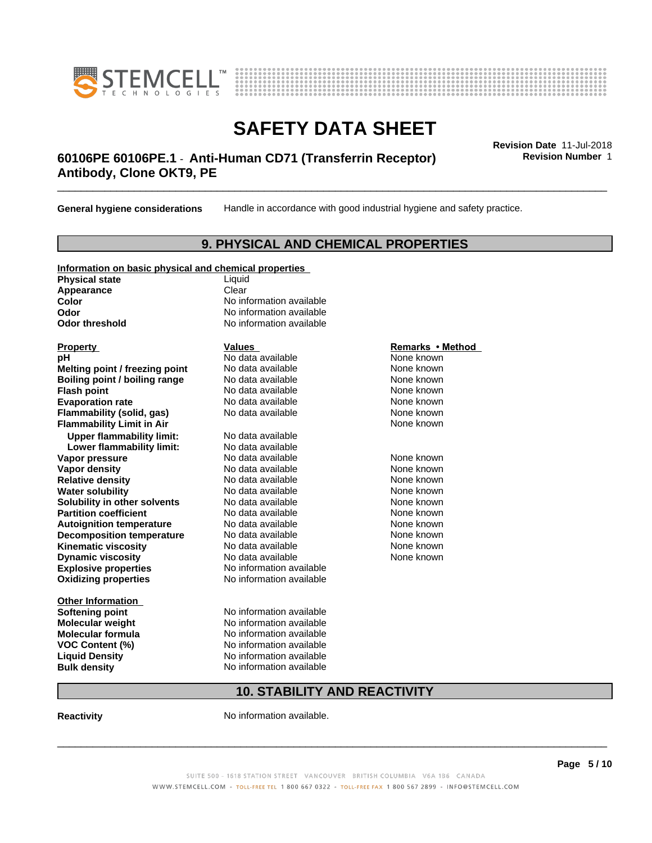



# \_\_\_\_\_\_\_\_\_\_\_\_\_\_\_\_\_\_\_\_\_\_\_\_\_\_\_\_\_\_\_\_\_\_\_\_\_\_\_\_\_\_\_\_\_\_\_\_\_\_\_\_\_\_\_\_\_\_\_\_\_\_\_\_\_\_\_\_\_\_\_\_\_\_\_\_\_\_\_\_\_\_\_\_\_\_\_\_\_\_\_\_\_ **Revision Date** 11-Jul-2018 **60106PE 60106PE.1** - **Anti-Human CD71 (Transferrin Receptor) Antibody, Clone OKT9, PE**

**General hygiene considerations** Handle in accordance with good industrial hygiene and safety practice.

# **9. PHYSICAL AND CHEMICAL PROPERTIES**

### **Information on basic physical and chemical properties Physical state** Liquid Appearance **Clear Color** No information available

**Explosive properties**<br> **Oxidizing properties**<br>
No information available **Oxidizing properties Property Remarks •Method Property Remarks •Method pH** No data available None known<br> **Melting point / freezing point** No data available None known **Melting point / freezing point** No data available None known<br> **Boiling point / boiling range** No data available None known **Boiling point / boiling range Flash point No data available None known Evaporation rate Cone Cone Access Mode to Access 10 and 7 and 7 and 7 and 7 and 7 and 7 and 7 and 7 and 7 and 7 and 7 and 7 and 7 and 7 and 7 and 7 and 7 and 7 and 7 and 7 and 7 and 7 and 7 and 7 and 7 and 7 and 7 and 7 Flammability (solid, gas)** No data available None known **Flammability Limit in Air Air 1988 1999 <b>1999 1999 <b>1999 1999 1999 1999 1999 1999 1999 1999 1999 1999 1999 1999 1999 1999 1999 1999 1999 1999 1999 1999 1999 1999 1999 Upper flammability limit:** No data available **Lower flammability limit:** No data available **Vapor pressure No data available None known Vapor density No data available and the Shown Relative density and the None known Relative density and None known Relative density No data available and the Shown None known**<br> **Water solubility No data available None known None known Water solubility Solubility in other solvents** No data available **None known**<br> **Partition coefficient** No data available None known<br>
None known **Partition coefficient**<br> **Autoignition temperature**<br>
No data available None None known<br>
None known **Autoignition temperature** Mo data available Mone known<br> **Decomposition temperature** No data available None known **Decomposition temperature** No data available<br> **Kinematic viscosity** No data available **Kinematic viscosity No data available None known**<br> **Notata available None known**<br>
Notata available **None known Dynamic viscosity No data available None known** 

**Other Information VOC** Content (%)

**Odor** No information available **Odor threshold** No information available

**Softening point** No information available **Molecular weight** No information available **Molecular formula No information available**<br>**VOC Content (%)** No information available **Liquid Density** No information available **Bulk density** No information available

# **10. STABILITY AND REACTIVITY**

**Reactivity No information available.** 

 $\overline{\phantom{a}}$  ,  $\overline{\phantom{a}}$  ,  $\overline{\phantom{a}}$  ,  $\overline{\phantom{a}}$  ,  $\overline{\phantom{a}}$  ,  $\overline{\phantom{a}}$  ,  $\overline{\phantom{a}}$  ,  $\overline{\phantom{a}}$  ,  $\overline{\phantom{a}}$  ,  $\overline{\phantom{a}}$  ,  $\overline{\phantom{a}}$  ,  $\overline{\phantom{a}}$  ,  $\overline{\phantom{a}}$  ,  $\overline{\phantom{a}}$  ,  $\overline{\phantom{a}}$  ,  $\overline{\phantom{a}}$ 

**Revision Number** 1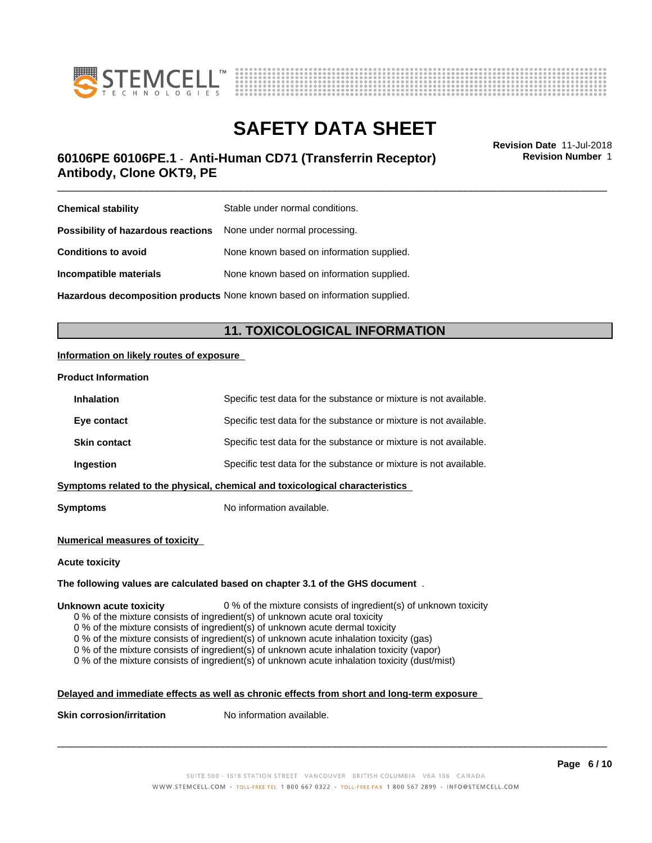



# \_\_\_\_\_\_\_\_\_\_\_\_\_\_\_\_\_\_\_\_\_\_\_\_\_\_\_\_\_\_\_\_\_\_\_\_\_\_\_\_\_\_\_\_\_\_\_\_\_\_\_\_\_\_\_\_\_\_\_\_\_\_\_\_\_\_\_\_\_\_\_\_\_\_\_\_\_\_\_\_\_\_\_\_\_\_\_\_\_\_\_\_\_ **Revision Date** 11-Jul-2018 **60106PE 60106PE.1** - **Anti-Human CD71 (Transferrin Receptor) Antibody, Clone OKT9, PE**

**Revision Number** 1

| <b>Chemical stability</b>                                               | Stable under normal conditions.           |
|-------------------------------------------------------------------------|-------------------------------------------|
| <b>Possibility of hazardous reactions</b> None under normal processing. |                                           |
| <b>Conditions to avoid</b>                                              | None known based on information supplied. |
| Incompatible materials                                                  | None known based on information supplied. |
|                                                                         |                                           |

**Hazardous decomposition products** None known based on information supplied.

# **11. TOXICOLOGICAL INFORMATION**

### **Information on likely routes of exposure**

### **Product Information**

| <b>Inhalation</b>   | Specific test data for the substance or mixture is not available.            |
|---------------------|------------------------------------------------------------------------------|
| Eye contact         | Specific test data for the substance or mixture is not available.            |
| <b>Skin contact</b> | Specific test data for the substance or mixture is not available.            |
| Ingestion           | Specific test data for the substance or mixture is not available.            |
|                     | Symptoms related to the physical, chemical and toxicological characteristics |
|                     |                                                                              |

**Symptoms** No information available.

### **Numerical measures of toxicity**

### **Acute toxicity**

### **The following values are calculated based on chapter 3.1 of the GHS document** .

### **Unknown acute toxicity** 0 % of the mixture consists of ingredient(s) of unknown toxicity

0 % of the mixture consists of ingredient(s) of unknown acute oral toxicity

0 % of the mixture consists of ingredient(s) of unknown acute dermal toxicity

0 % of the mixture consists of ingredient(s) of unknown acute inhalation toxicity (gas)

0 % of the mixture consists of ingredient(s) of unknown acute inhalation toxicity (vapor)

0 % of the mixture consists of ingredient(s) of unknown acute inhalation toxicity (dust/mist)

## **Delayed and immediate effects as well as chronic effects from short and long-term exposure**

**Skin corrosion/irritation** No information available.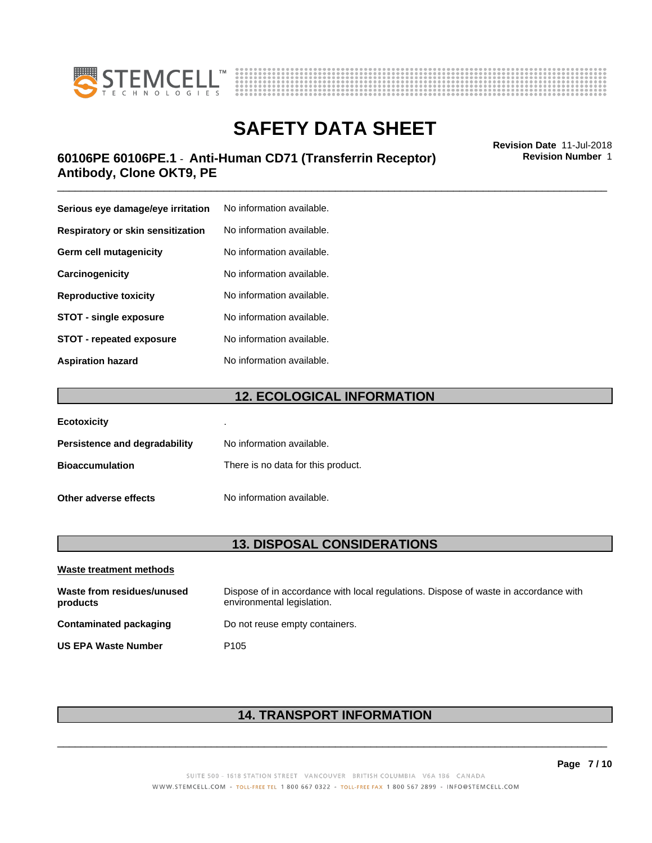



# \_\_\_\_\_\_\_\_\_\_\_\_\_\_\_\_\_\_\_\_\_\_\_\_\_\_\_\_\_\_\_\_\_\_\_\_\_\_\_\_\_\_\_\_\_\_\_\_\_\_\_\_\_\_\_\_\_\_\_\_\_\_\_\_\_\_\_\_\_\_\_\_\_\_\_\_\_\_\_\_\_\_\_\_\_\_\_\_\_\_\_\_\_ **Revision Date** 11-Jul-2018 **60106PE 60106PE.1** - **Anti-Human CD71 (Transferrin Receptor) Antibody, Clone OKT9, PE**

| Serious eye damage/eye irritation | No information available. |
|-----------------------------------|---------------------------|
| Respiratory or skin sensitization | No information available. |
| Germ cell mutagenicity            | No information available. |
| Carcinogenicity                   | No information available. |
| <b>Reproductive toxicity</b>      | No information available. |
| <b>STOT - single exposure</b>     | No information available. |
| <b>STOT - repeated exposure</b>   | No information available. |
| <b>Aspiration hazard</b>          | No information available. |

# **12. ECOLOGICAL INFORMATION**

| <b>Ecotoxicity</b>            | ٠                                  |
|-------------------------------|------------------------------------|
| Persistence and degradability | No information available.          |
| <b>Bioaccumulation</b>        | There is no data for this product. |
| Other adverse effects         | No information available.          |

# **13. DISPOSAL CONSIDERATIONS**

| Waste treatment methods                |                                                                                                                    |
|----------------------------------------|--------------------------------------------------------------------------------------------------------------------|
| Waste from residues/unused<br>products | Dispose of in accordance with local regulations. Dispose of waste in accordance with<br>environmental legislation. |
| Contaminated packaging                 | Do not reuse empty containers.                                                                                     |
| <b>US EPA Waste Number</b>             | P <sub>105</sub>                                                                                                   |

# **14. TRANSPORT INFORMATION**

 $\overline{\phantom{a}}$  ,  $\overline{\phantom{a}}$  ,  $\overline{\phantom{a}}$  ,  $\overline{\phantom{a}}$  ,  $\overline{\phantom{a}}$  ,  $\overline{\phantom{a}}$  ,  $\overline{\phantom{a}}$  ,  $\overline{\phantom{a}}$  ,  $\overline{\phantom{a}}$  ,  $\overline{\phantom{a}}$  ,  $\overline{\phantom{a}}$  ,  $\overline{\phantom{a}}$  ,  $\overline{\phantom{a}}$  ,  $\overline{\phantom{a}}$  ,  $\overline{\phantom{a}}$  ,  $\overline{\phantom{a}}$ 

## **Page 7 / 10**

**Revision Number** 1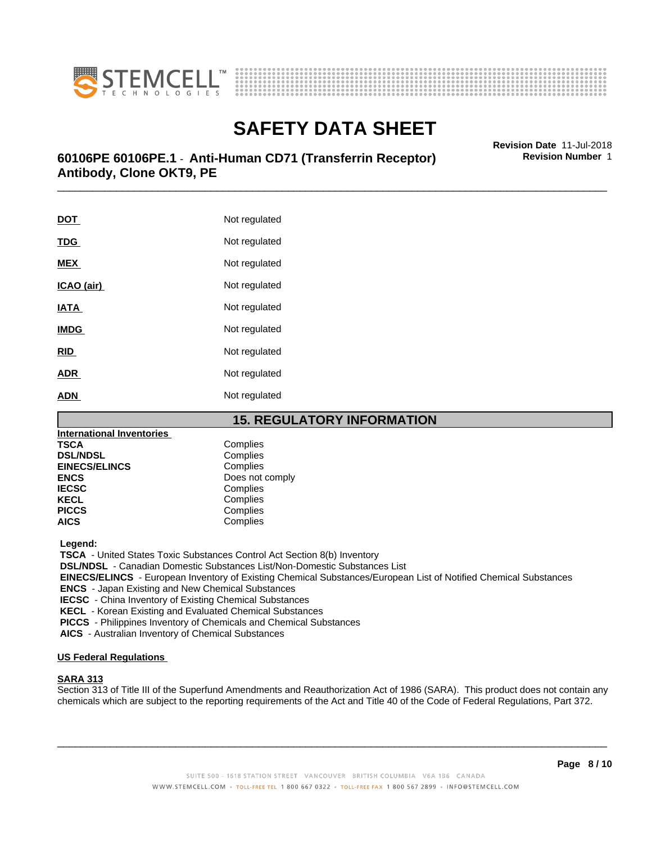



# \_\_\_\_\_\_\_\_\_\_\_\_\_\_\_\_\_\_\_\_\_\_\_\_\_\_\_\_\_\_\_\_\_\_\_\_\_\_\_\_\_\_\_\_\_\_\_\_\_\_\_\_\_\_\_\_\_\_\_\_\_\_\_\_\_\_\_\_\_\_\_\_\_\_\_\_\_\_\_\_\_\_\_\_\_\_\_\_\_\_\_\_\_ **Revision Date** 11-Jul-2018 **60106PE 60106PE.1** - **Anti-Human CD71 (Transferrin Receptor) Antibody, Clone OKT9, PE**

**DOT** Not regulated **TDG** Not regulated **MEX** Not regulated **ICAO** (air) Not regulated **IATA** Not regulated **IMDG** Not regulated **RID** Not regulated **ADR** Not regulated **ADN** Not regulated

# **15. REGULATORY INFORMATION**

| International Inventories |                 |
|---------------------------|-----------------|
| TSCA                      | Complies        |
| <b>DSL/NDSL</b>           | Complies        |
| <b>EINECS/ELINCS</b>      | Complies        |
| ENCS                      | Does not comply |
| <b>IECSC</b>              | Complies        |
| KECL                      | Complies        |
| <b>PICCS</b>              | Complies        |
| AICS                      | Complies        |
|                           |                 |

 **Legend:**

 **TSCA** - United States Toxic Substances Control Act Section 8(b) Inventory

 **DSL/NDSL** - Canadian Domestic Substances List/Non-Domestic Substances List

 **EINECS/ELINCS** - European Inventory of Existing Chemical Substances/European List of Notified Chemical Substances

 **ENCS** - Japan Existing and New Chemical Substances

 **IECSC** - China Inventory of Existing Chemical Substances

 **KECL** - Korean Existing and Evaluated Chemical Substances

 **PICCS** - Philippines Inventory of Chemicals and Chemical Substances

 **AICS** - Australian Inventory of Chemical Substances

## **US Federal Regulations**

### **SARA 313**

Section 313 of Title III of the Superfund Amendments and Reauthorization Act of 1986 (SARA). This product does not contain any chemicals which are subject to the reporting requirements of the Act and Title 40 of the Code of Federal Regulations, Part 372.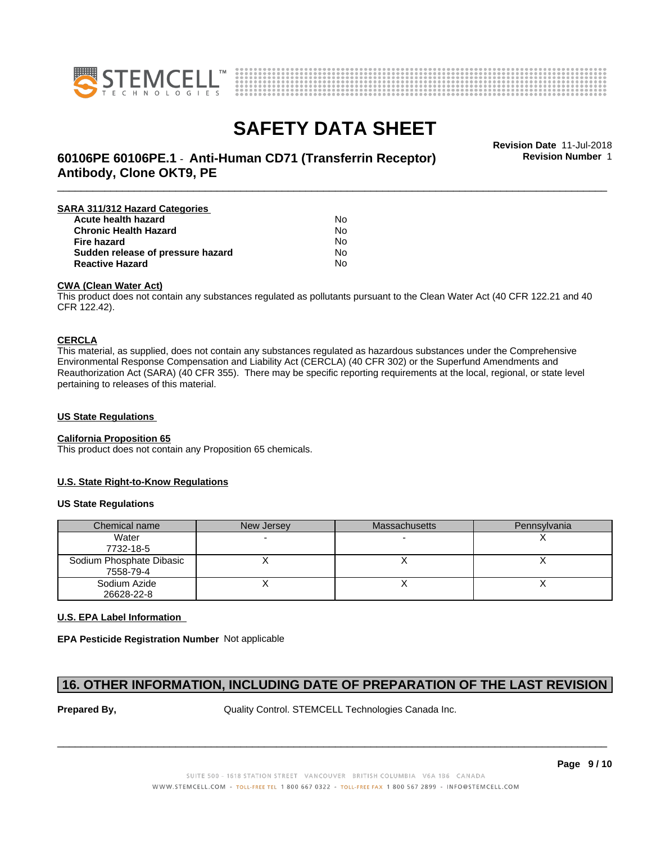



# **SAFETY DATA SHEET**<br>Revision Date 11-Jul-2018

\_\_\_\_\_\_\_\_\_\_\_\_\_\_\_\_\_\_\_\_\_\_\_\_\_\_\_\_\_\_\_\_\_\_\_\_\_\_\_\_\_\_\_\_\_\_\_\_\_\_\_\_\_\_\_\_\_\_\_\_\_\_\_\_\_\_\_\_\_\_\_\_\_\_\_\_\_\_\_\_\_\_\_\_\_\_\_\_\_\_\_\_\_ **Revision Date** 11-Jul-2018 **60106PE 60106PE.1** - **Anti-Human CD71 (Transferrin Receptor) Antibody, Clone OKT9, PE**

**Revision Number** 1

| SARA 311/312 Hazard Categories    |    |  |
|-----------------------------------|----|--|
| Acute health hazard               | N٥ |  |
| <b>Chronic Health Hazard</b>      | No |  |
| Fire hazard                       | No |  |
| Sudden release of pressure hazard | No |  |
| <b>Reactive Hazard</b>            | N٥ |  |

### **CWA (Clean WaterAct)**

This product does not contain any substances regulated as pollutants pursuant to the Clean Water Act (40 CFR 122.21 and 40 CFR 122.42).

### **CERCLA**

This material, as supplied, does not contain any substances regulated as hazardous substances under the Comprehensive Environmental Response Compensation and Liability Act (CERCLA) (40 CFR 302) or the Superfund Amendments and Reauthorization Act (SARA) (40 CFR 355). There may be specific reporting requirements at the local, regional, or state level pertaining to releases of this material.

## **US State Regulations**

### **California Proposition 65**

This product does not contain any Proposition 65 chemicals.

### **U.S. State Right-to-Know Regulations**

### **US State Regulations**

| Chemical name                         | New Jersey | <b>Massachusetts</b> | Pennsylvania |
|---------------------------------------|------------|----------------------|--------------|
| Water<br>7732-18-5                    |            |                      |              |
| Sodium Phosphate Dibasic<br>7558-79-4 |            |                      |              |
| Sodium Azide<br>26628-22-8            |            |                      |              |

### **U.S. EPA Label Information**

**EPA Pesticide Registration Number** Not applicable

# **16. OTHER INFORMATION, INCLUDING DATE OF PREPARATION OF THE LAST REVISION**

**Prepared By, State Control. STEMCELL Technologies Canada Inc.**